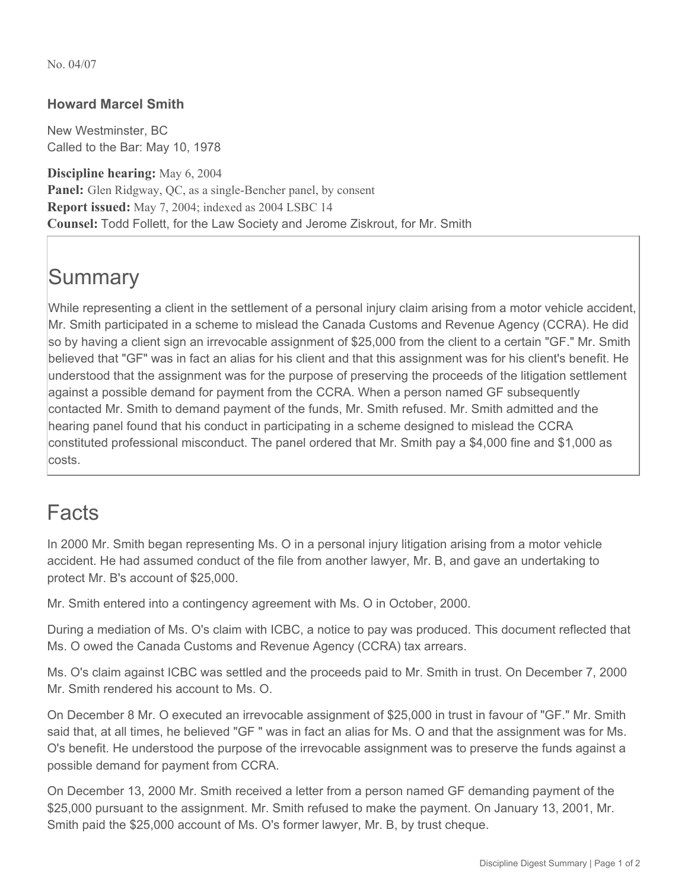No. 04/07

#### **Howard Marcel Smith**

New Westminster, BC Called to the Bar: May 10, 1978

**Discipline hearing:** May 6, 2004 **Panel:** Glen Ridgway, QC, as a single-Bencher panel, by consent **Report issued:** May 7, 2004; indexed as 2004 LSBC 14 **Counsel:** Todd Follett, for the Law Society and Jerome Ziskrout, for Mr. Smith

# **Summary**

While representing a client in the settlement of a personal injury claim arising from a motor vehicle accident, Mr. Smith participated in a scheme to mislead the Canada Customs and Revenue Agency (CCRA). He did so by having a client sign an irrevocable assignment of \$25,000 from the client to a certain "GF." Mr. Smith believed that "GF" was in fact an alias for his client and that this assignment was for his client's benefit. He understood that the assignment was for the purpose of preserving the proceeds of the litigation settlement against a possible demand for payment from the CCRA. When a person named GF subsequently contacted Mr. Smith to demand payment of the funds, Mr. Smith refused. Mr. Smith admitted and the hearing panel found that his conduct in participating in a scheme designed to mislead the CCRA constituted professional misconduct. The panel ordered that Mr. Smith pay a \$4,000 fine and \$1,000 as costs.

### Facts

In 2000 Mr. Smith began representing Ms. O in a personal injury litigation arising from a motor vehicle accident. He had assumed conduct of the file from another lawyer, Mr. B, and gave an undertaking to protect Mr. B's account of \$25,000.

Mr. Smith entered into a contingency agreement with Ms. O in October, 2000.

During a mediation of Ms. O's claim with ICBC, a notice to pay was produced. This document reflected that Ms. O owed the Canada Customs and Revenue Agency (CCRA) tax arrears.

Ms. O's claim against ICBC was settled and the proceeds paid to Mr. Smith in trust. On December 7, 2000 Mr. Smith rendered his account to Ms. O.

On December 8 Mr. O executed an irrevocable assignment of \$25,000 in trust in favour of "GF." Mr. Smith said that, at all times, he believed "GF " was in fact an alias for Ms. O and that the assignment was for Ms. O's benefit. He understood the purpose of the irrevocable assignment was to preserve the funds against a possible demand for payment from CCRA.

On December 13, 2000 Mr. Smith received a letter from a person named GF demanding payment of the \$25,000 pursuant to the assignment. Mr. Smith refused to make the payment. On January 13, 2001, Mr. Smith paid the \$25,000 account of Ms. O's former lawyer, Mr. B, by trust cheque.